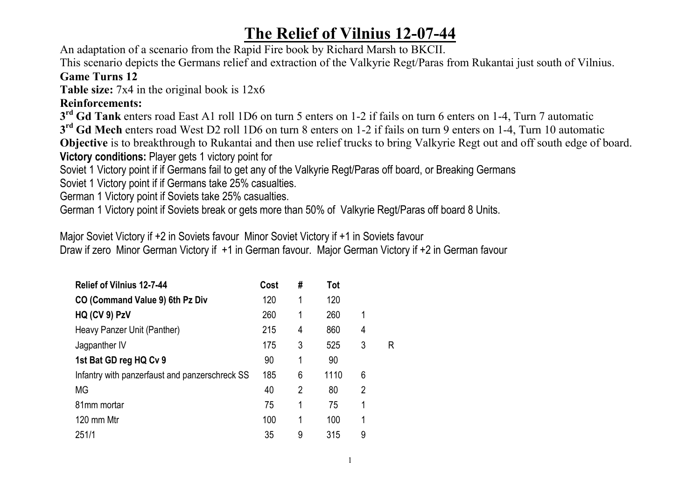## **The Relief of Vilnius 12-07-44**

An adaptation of a scenario from the Rapid Fire book by Richard Marsh to BKCII.

This scenario depicts the Germans relief and extraction of the Valkyrie Regt/Paras from Rukantai just south of Vilnius.

## **Game Turns 12**

**Table size:** 7x4 in the original book is 12x6

## **Reinforcements:**

**3rd Gd Tank** enters road East A1 roll 1D6 on turn 5 enters on 1-2 if fails on turn 6 enters on 1-4, Turn 7 automatic

**3rd Gd Mech** enters road West D2 roll 1D6 on turn 8 enters on 1-2 if fails on turn 9 enters on 1-4, Turn 10 automatic

**Objective** is to breakthrough to Rukantai and then use relief trucks to bring Valkyrie Regt out and off south edge of board.

**Victory conditions:** Player gets 1 victory point for

Soviet 1 Victory point if if Germans fail to get any of the Valkyrie Regt/Paras off board, or Breaking Germans

Soviet 1 Victory point if if Germans take 25% casualties.

German 1 Victory point if Soviets take 25% casualties.

German 1 Victory point if Soviets break or gets more than 50% of Valkyrie Regt/Paras off board 8 Units.

Major Soviet Victory if +2 in Soviets favour Minor Soviet Victory if +1 in Soviets favour Draw if zero Minor German Victory if +1 in German favour. Major German Victory if +2 in German favour

| <b>Relief of Vilnius 12-7-44</b>               | Cost | #              | Tot  |                |   |
|------------------------------------------------|------|----------------|------|----------------|---|
| CO (Command Value 9) 6th Pz Div                | 120  | 1              | 120  |                |   |
| HQ (CV 9) PzV                                  | 260  | $\mathbf{1}$   | 260  | 1              |   |
| Heavy Panzer Unit (Panther)                    | 215  | 4              | 860  | 4              |   |
| Jagpanther IV                                  | 175  | 3              | 525  | 3              | R |
| 1st Bat GD reg HQ Cv 9                         | 90   | 1              | 90   |                |   |
| Infantry with panzerfaust and panzerschreck SS | 185  | 6              | 1110 | 6              |   |
| МG                                             | 40   | $\overline{2}$ | 80   | $\overline{2}$ |   |
| 81mm mortar                                    | 75   | 1              | 75   | 1              |   |
| 120 mm Mtr                                     | 100  | 1              | 100  | 1              |   |
| 251/1                                          | 35   | 9              | 315  | 9              |   |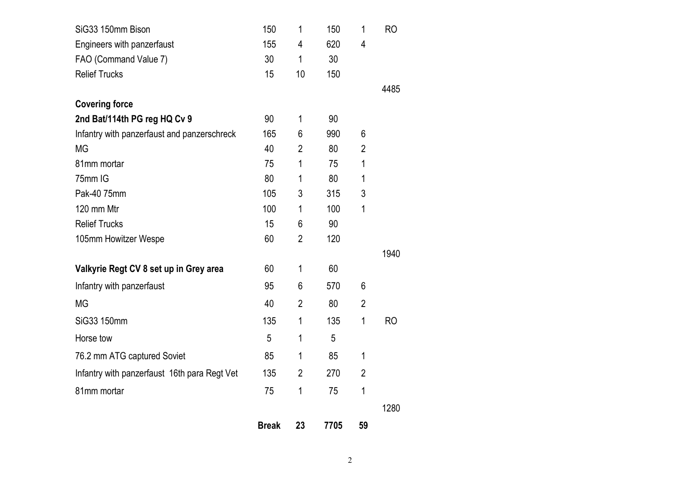| SiG33 150mm Bison                            | 150          | 1              | 150  | 1              | <b>RO</b> |
|----------------------------------------------|--------------|----------------|------|----------------|-----------|
| Engineers with panzerfaust                   | 155          | 4              | 620  | 4              |           |
| FAO (Command Value 7)                        | 30           | 1              | 30   |                |           |
| <b>Relief Trucks</b>                         | 15           | 10             | 150  |                |           |
|                                              |              |                |      |                | 4485      |
| <b>Covering force</b>                        |              |                |      |                |           |
| 2nd Bat/114th PG reg HQ Cv 9                 | 90           | 1              | 90   |                |           |
| Infantry with panzerfaust and panzerschreck  | 165          | 6              | 990  | 6              |           |
| <b>MG</b>                                    | 40           | $\overline{2}$ | 80   | $\overline{2}$ |           |
| 81mm mortar                                  | 75           | 1              | 75   | 1              |           |
| 75mm IG                                      | 80           | 1              | 80   | 1              |           |
| Pak-40 75mm                                  | 105          | 3              | 315  | 3              |           |
| 120 mm Mtr                                   | 100          | 1              | 100  | 1              |           |
| <b>Relief Trucks</b>                         | 15           | 6              | 90   |                |           |
| 105mm Howitzer Wespe                         | 60           | 2              | 120  |                |           |
|                                              |              |                |      |                | 1940      |
| Valkyrie Regt CV 8 set up in Grey area       | 60           | 1              | 60   |                |           |
| Infantry with panzerfaust                    | 95           | 6              | 570  | 6              |           |
| <b>MG</b>                                    | 40           | 2              | 80   | $\overline{2}$ |           |
| SiG33 150mm                                  | 135          | 1              | 135  | 1              | <b>RO</b> |
| Horse tow                                    | 5            | 1              | 5    |                |           |
| 76.2 mm ATG captured Soviet                  | 85           | 1              | 85   | 1              |           |
| Infantry with panzerfaust 16th para Regt Vet | 135          | $\overline{2}$ | 270  | $\overline{2}$ |           |
| 81mm mortar                                  | 75           | 1              | 75   | 1              |           |
|                                              |              |                |      |                | 1280      |
|                                              | <b>Break</b> | 23             | 7705 | 59             |           |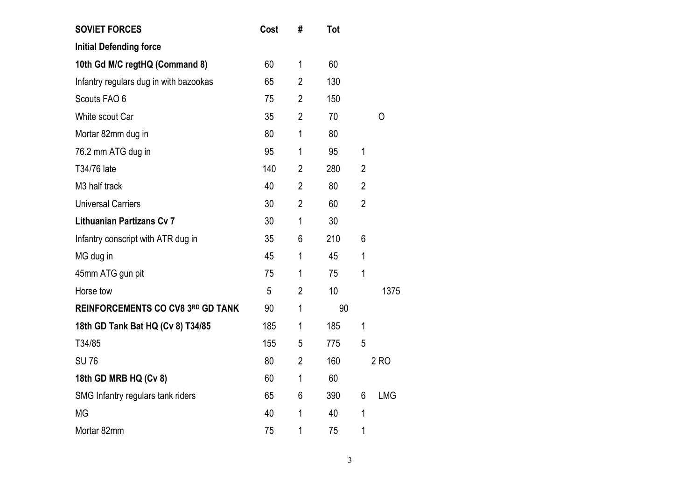| <b>SOVIET FORCES</b>                     | Cost | #              | <b>Tot</b> |                |            |
|------------------------------------------|------|----------------|------------|----------------|------------|
| <b>Initial Defending force</b>           |      |                |            |                |            |
| 10th Gd M/C regtHQ (Command 8)           | 60   | $\mathbf 1$    | 60         |                |            |
| Infantry regulars dug in with bazookas   | 65   | $\overline{2}$ | 130        |                |            |
| Scouts FAO 6                             | 75   | $\overline{2}$ | 150        |                |            |
| White scout Car                          | 35   | $\overline{2}$ | 70         |                | Ο          |
| Mortar 82mm dug in                       | 80   | 1              | 80         |                |            |
| 76.2 mm ATG dug in                       | 95   | 1              | 95         | 1              |            |
| T34/76 late                              | 140  | $\overline{2}$ | 280        | $\overline{2}$ |            |
| M3 half track                            | 40   | $\overline{2}$ | 80         | $\overline{2}$ |            |
| <b>Universal Carriers</b>                | 30   | $\overline{2}$ | 60         | $\overline{2}$ |            |
| <b>Lithuanian Partizans Cv 7</b>         | 30   | $\mathbf 1$    | 30         |                |            |
| Infantry conscript with ATR dug in       | 35   | 6              | 210        | 6              |            |
| MG dug in                                | 45   | 1              | 45         | 1              |            |
| 45mm ATG gun pit                         | 75   | 1              | 75         | 1              |            |
| Horse tow                                | 5    | $\overline{2}$ | 10         |                | 1375       |
| <b>REINFORCEMENTS CO CV8 3RD GD TANK</b> | 90   | 1              | 90         |                |            |
| 18th GD Tank Bat HQ (Cv 8) T34/85        | 185  | 1              | 185        | 1              |            |
| T34/85                                   | 155  | 5              | 775        | 5              |            |
| <b>SU76</b>                              | 80   | $\overline{2}$ | 160        |                | 2 RO       |
| 18th GD MRB HQ (Cv 8)                    | 60   | 1              | 60         |                |            |
| SMG Infantry regulars tank riders        | 65   | 6              | 390        | 6              | <b>LMG</b> |
| <b>MG</b>                                | 40   | 1              | 40         | 1              |            |
| Mortar 82mm                              | 75   | 1              | 75         | 1              |            |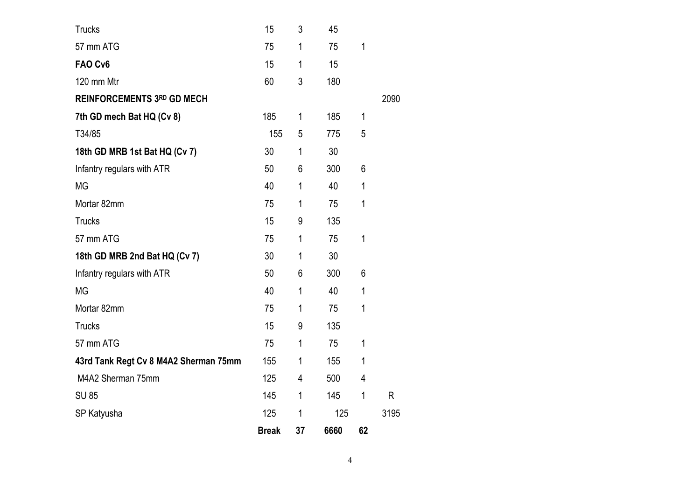| <b>Trucks</b>                         | 15           | 3           | 45   |             |      |
|---------------------------------------|--------------|-------------|------|-------------|------|
| 57 mm ATG                             | 75           | 1           | 75   | 1           |      |
| FAO Cv6                               | 15           | 1           | 15   |             |      |
| 120 mm Mtr                            | 60           | 3           | 180  |             |      |
| <b>REINFORCEMENTS 3RD GD MECH</b>     |              |             |      |             | 2090 |
| 7th GD mech Bat HQ (Cv 8)             | 185          | 1           | 185  | $\mathbf 1$ |      |
| T34/85                                | 155          | 5           | 775  | 5           |      |
| 18th GD MRB 1st Bat HQ (Cv 7)         | 30           | $\mathbf 1$ | 30   |             |      |
| Infantry regulars with ATR            | 50           | 6           | 300  | 6           |      |
| <b>MG</b>                             | 40           | 1           | 40   | 1           |      |
| Mortar 82mm                           | 75           | 1           | 75   | 1           |      |
| <b>Trucks</b>                         | 15           | 9           | 135  |             |      |
| 57 mm ATG                             | 75           | 1           | 75   | 1           |      |
| 18th GD MRB 2nd Bat HQ (Cv 7)         | 30           | $\mathbf 1$ | 30   |             |      |
| Infantry regulars with ATR            | 50           | 6           | 300  | 6           |      |
| <b>MG</b>                             | 40           | 1           | 40   | 1           |      |
| Mortar 82mm                           | 75           | 1           | 75   | 1           |      |
| <b>Trucks</b>                         | 15           | 9           | 135  |             |      |
| 57 mm ATG                             | 75           | 1           | 75   | 1           |      |
| 43rd Tank Regt Cv 8 M4A2 Sherman 75mm | 155          | 1           | 155  | $\mathbf 1$ |      |
| M4A2 Sherman 75mm                     | 125          | 4           | 500  | 4           |      |
| <b>SU 85</b>                          | 145          | 1           | 145  | 1           | R    |
| SP Katyusha                           | 125          | 1           | 125  |             | 3195 |
|                                       | <b>Break</b> | 37          | 6660 | 62          |      |